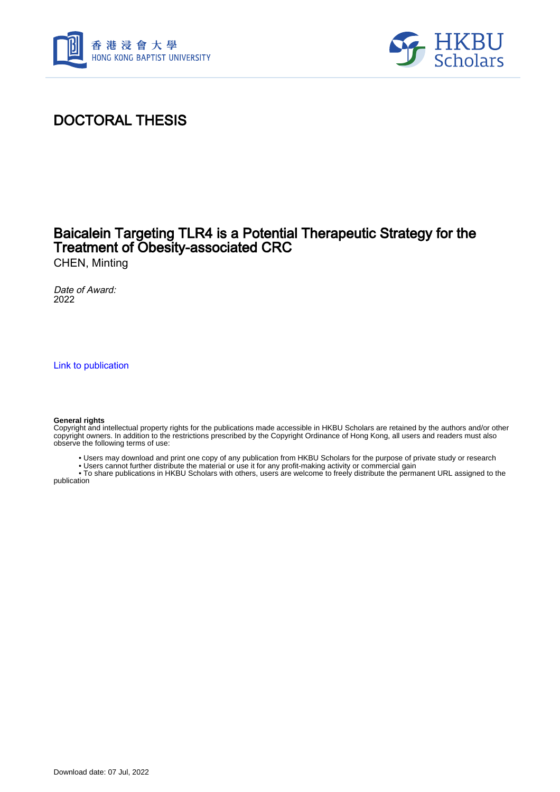



## DOCTORAL THESIS

## Baicalein Targeting TLR4 is a Potential Therapeutic Strategy for the Treatment of Obesity-associated CRC

CHEN, Minting

Date of Award: 2022

[Link to publication](https://scholars.hkbu.edu.hk/en/studentTheses/cf005a0c-574c-494d-8bd8-f18858709993)

#### **General rights**

Copyright and intellectual property rights for the publications made accessible in HKBU Scholars are retained by the authors and/or other copyright owners. In addition to the restrictions prescribed by the Copyright Ordinance of Hong Kong, all users and readers must also observe the following terms of use:

- Users may download and print one copy of any publication from HKBU Scholars for the purpose of private study or research
- Users cannot further distribute the material or use it for any profit-making activity or commercial gain

 • To share publications in HKBU Scholars with others, users are welcome to freely distribute the permanent URL assigned to the publication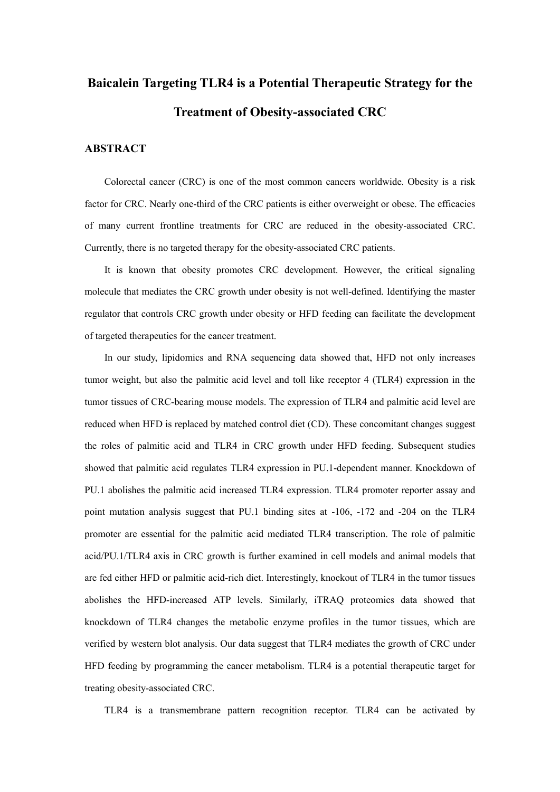# **Baicalein Targeting TLR4 is a Potential Therapeutic Strategy for the Treatment of Obesity-associated CRC**

### **ABSTRACT**

Colorectal cancer (CRC) is one of the most common cancers worldwide. Obesity is a risk factor for CRC. Nearly one-third of the CRC patients is either overweight or obese. The efficacies of many current frontline treatments for CRC are reduced in the obesity-associated CRC. Currently, there is no targeted therapy for the obesity-associated CRC patients.

It is known that obesity promotes CRC development. However, the critical signaling molecule that mediates the CRC growth under obesity is not well-defined. Identifying the master regulator that controls CRC growth under obesity or HFD feeding can facilitate the development of targeted therapeutics for the cancer treatment.

In our study, lipidomics and RNA sequencing data showed that, HFD not only increases tumor weight, but also the palmitic acid level and toll like receptor 4 (TLR4) expression in the tumor tissues of CRC-bearing mouse models. The expression of TLR4 and palmitic acid level are reduced when HFD is replaced by matched control diet (CD). These concomitant changes suggest the roles of palmitic acid and TLR4 in CRC growth under HFD feeding. Subsequent studies showed that palmitic acid regulates TLR4 expression in PU.1-dependent manner. Knockdown of PU.1 abolishes the palmitic acid increased TLR4 expression. TLR4 promoter reporter assay and point mutation analysis suggest that PU.1 binding sites at -106, -172 and -204 on the TLR4 promoter are essential for the palmitic acid mediated TLR4 transcription. The role of palmitic acid/PU.1/TLR4 axis in CRC growth is further examined in cell models and animal models that are fed either HFD or palmitic acid-rich diet. Interestingly, knockout of TLR4 in the tumor tissues abolishes the HFD-increased ATP levels. Similarly, iTRAQ proteomics data showed that knockdown of TLR4 changes the metabolic enzyme profiles in the tumor tissues, which are verified by western blot analysis. Our data suggest that TLR4 mediates the growth of CRC under HFD feeding by programming the cancer metabolism. TLR4 is a potential therapeutic target for treating obesity-associated CRC.

TLR4 is a transmembrane pattern recognition receptor. TLR4 can be activated by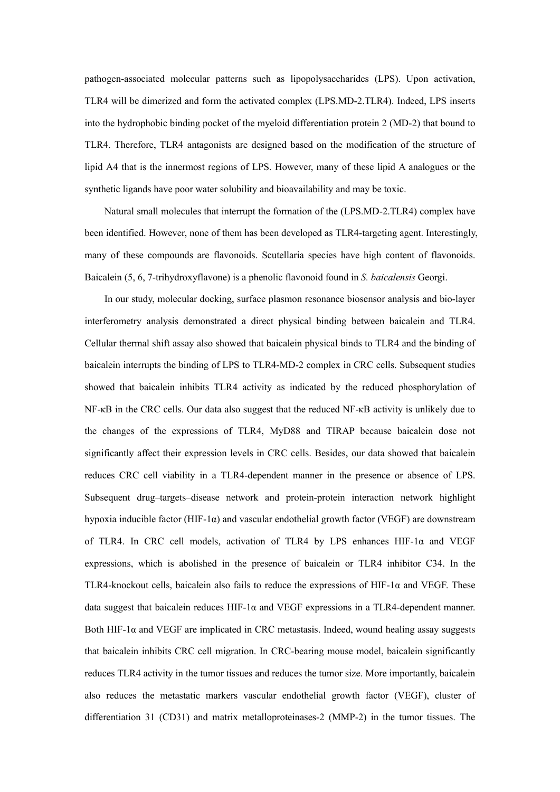pathogen-associated molecular patterns such as lipopolysaccharides (LPS). Upon activation, TLR4 will be dimerized and form the activated complex (LPS.MD-2.TLR4). Indeed, LPS inserts into the hydrophobic binding pocket of the myeloid differentiation protein 2 (MD-2) that bound to TLR4. Therefore, TLR4 antagonists are designed based on the modification of the structure of lipid A4 that is the innermost regions of LPS. However, many of these lipid A analogues or the synthetic ligands have poor water solubility and bioavailability and may be toxic.

Natural small molecules that interrupt the formation of the (LPS.MD-2.TLR4) complex have been identified. However, none of them has been developed as TLR4-targeting agent. Interestingly, many of these compounds are flavonoids. Scutellaria species have high content of flavonoids. Baicalein (5, 6, 7-trihydroxyflavone) is a phenolic flavonoid found in *S. baicalensis* Georgi.

In our study, molecular docking, surface plasmon resonance biosensor analysis and bio-layer interferometry analysis demonstrated a direct physical binding between baicalein and TLR4. Cellular thermal shift assay also showed that baicalein physical binds to TLR4 and the binding of baicalein interrupts the binding of LPS to TLR4-MD-2 complex in CRC cells. Subsequent studies showed that baicalein inhibits TLR4 activity as indicated by the reduced phosphorylation of NF-κB in the CRC cells. Our data also suggest that the reduced NF-κB activity is unlikely due to the changes of the expressions of TLR4, MyD88 and TIRAP because baicalein dose not significantly affect their expression levels in CRC cells. Besides, our data showed that baicalein reduces CRC cell viability in a TLR4-dependent manner in the presence or absence of LPS. Subsequent drug–targets–disease network and protein-protein interaction network highlight hypoxia inducible factor  $(HIF-1\alpha)$  and vascular endothelial growth factor (VEGF) are downstream of TLR4. In CRC cell models, activation of TLR4 by LPS enhances  $HIF-1\alpha$  and VEGF expressions, which is abolished in the presence of baicalein or TLR4 inhibitor C34. In the TLR4-knockout cells, baicalein also fails to reduce the expressions of HIF-1 $\alpha$  and VEGF. These data suggest that baicalein reduces HIF-1 $\alpha$  and VEGF expressions in a TLR4-dependent manner. Both HIF-1 $\alpha$  and VEGF are implicated in CRC metastasis. Indeed, wound healing assay suggests that baicalein inhibits CRC cell migration. In CRC-bearing mouse model, baicalein significantly reduces TLR4 activity in the tumor tissues and reduces the tumor size. More importantly, baicalein also reduces the metastatic markers vascular endothelial growth factor (VEGF), cluster of differentiation 31 (CD31) and matrix metalloproteinases-2 (MMP-2) in the tumor tissues. The